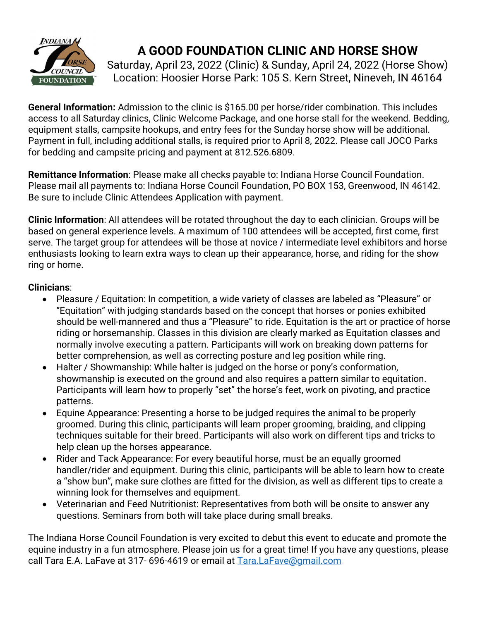

# A GOOD FOUNDATION CLINIC AND HORSE SHOW

Saturday, April 23, 2022 (Clinic) & Sunday, April 24, 2022 (Horse Show) Location: Hoosier Horse Park: 105 S. Kern Street, Nineveh, IN 46164

General Information: Admission to the clinic is \$165.00 per horse/rider combination. This includes access to all Saturday clinics, Clinic Welcome Package, and one horse stall for the weekend. Bedding, equipment stalls, campsite hookups, and entry fees for the Sunday horse show will be additional. Payment in full, including additional stalls, is required prior to April 8, 2022. Please call JOCO Parks for bedding and campsite pricing and payment at 812.526.6809.

Remittance Information: Please make all checks payable to: Indiana Horse Council Foundation. Please mail all payments to: Indiana Horse Council Foundation, PO BOX 153, Greenwood, IN 46142. Be sure to include Clinic Attendees Application with payment.

Clinic Information: All attendees will be rotated throughout the day to each clinician. Groups will be based on general experience levels. A maximum of 100 attendees will be accepted, first come, first serve. The target group for attendees will be those at novice / intermediate level exhibitors and horse enthusiasts looking to learn extra ways to clean up their appearance, horse, and riding for the show ring or home.

#### Clinicians:

- Pleasure / Equitation: In competition, a wide variety of classes are labeled as "Pleasure" or "Equitation" with judging standards based on the concept that horses or ponies exhibited should be well-mannered and thus a "Pleasure" to ride. Equitation is the art or practice of horse riding or horsemanship. Classes in this division are clearly marked as Equitation classes and normally involve executing a pattern. Participants will work on breaking down patterns for better comprehension, as well as correcting posture and leg position while ring.
- Halter / Showmanship: While halter is judged on the horse or pony's conformation, showmanship is executed on the ground and also requires a pattern similar to equitation. Participants will learn how to properly "set" the horse's feet, work on pivoting, and practice patterns.
- Equine Appearance: Presenting a horse to be judged requires the animal to be properly groomed. During this clinic, participants will learn proper grooming, braiding, and clipping techniques suitable for their breed. Participants will also work on different tips and tricks to help clean up the horses appearance.
- Rider and Tack Appearance: For every beautiful horse, must be an equally groomed handler/rider and equipment. During this clinic, participants will be able to learn how to create a "show bun", make sure clothes are fitted for the division, as well as different tips to create a winning look for themselves and equipment.
- Veterinarian and Feed Nutritionist: Representatives from both will be onsite to answer any questions. Seminars from both will take place during small breaks.

The Indiana Horse Council Foundation is very excited to debut this event to educate and promote the equine industry in a fun atmosphere. Please join us for a great time! If you have any questions, please call Tara E.A. LaFave at 317- 696-4619 or email at Tara.LaFave@gmail.com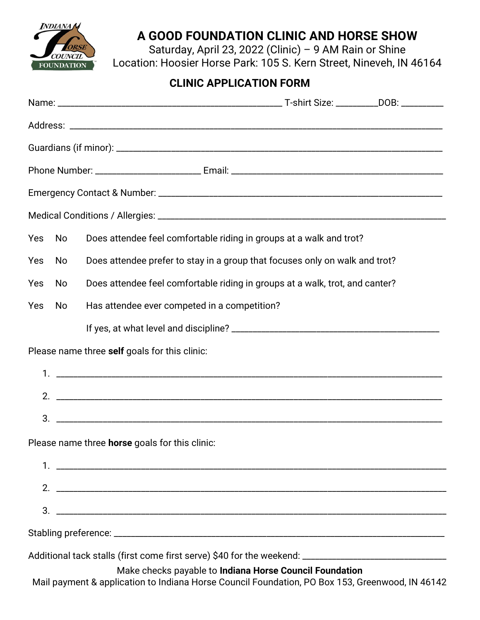

### A GOOD FOUNDATION CLINIC AND HORSE SHOW

Saturday, April 23, 2022 (Clinic) – 9 AM Rain or Shine Location: Hoosier Horse Park: 105 S. Kern Street, Nineveh, IN 46164

### CLINIC APPLICATION FORM

| Yes                                           | No  | Does attendee feel comfortable riding in groups at a walk and trot?                                                                                        |  |
|-----------------------------------------------|-----|------------------------------------------------------------------------------------------------------------------------------------------------------------|--|
| Yes                                           | No  | Does attendee prefer to stay in a group that focuses only on walk and trot?                                                                                |  |
| Yes                                           | No  | Does attendee feel comfortable riding in groups at a walk, trot, and canter?                                                                               |  |
| Yes                                           | No. | Has attendee ever competed in a competition?                                                                                                               |  |
|                                               |     |                                                                                                                                                            |  |
| Please name three self goals for this clinic: |     |                                                                                                                                                            |  |
|                                               |     |                                                                                                                                                            |  |
|                                               |     |                                                                                                                                                            |  |
|                                               |     |                                                                                                                                                            |  |
|                                               |     | Please name three horse goals for this clinic:                                                                                                             |  |
|                                               |     |                                                                                                                                                            |  |
|                                               |     |                                                                                                                                                            |  |
|                                               |     |                                                                                                                                                            |  |
|                                               |     |                                                                                                                                                            |  |
|                                               |     | Additional tack stalls (first come first serve) \$40 for the weekend: _______________________________                                                      |  |
|                                               |     | Make checks payable to Indiana Horse Council Foundation<br>Mail payment & application to Indiana Horse Council Foundation, PO Box 153, Greenwood, IN 46142 |  |